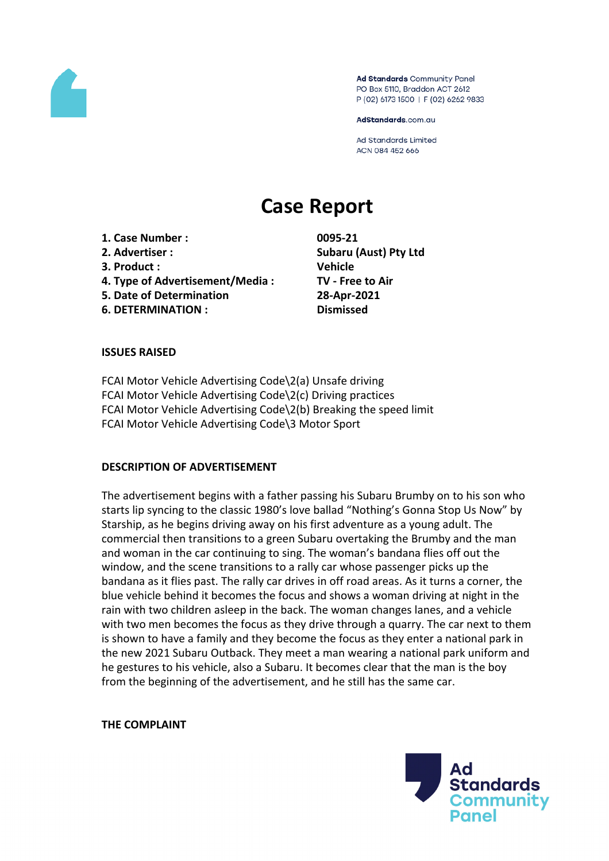

Ad Standards Community Panel PO Box 5110, Braddon ACT 2612 P (02) 6173 1500 | F (02) 6262 9833

AdStandards.com.au

**Ad Standards Limited** ACN 084 452 666

# **Case Report**

**1. Case Number : 0095-21 2. Advertiser : Subaru (Aust) Pty Ltd 3. Product : Vehicle 4. Type of Advertisement/Media : TV - Free to Air 5. Date of Determination 28-Apr-2021 6. DETERMINATION : Dismissed**

## **ISSUES RAISED**

FCAI Motor Vehicle Advertising Code\2(a) Unsafe driving FCAI Motor Vehicle Advertising Code\2(c) Driving practices FCAI Motor Vehicle Advertising Code\2(b) Breaking the speed limit FCAI Motor Vehicle Advertising Code\3 Motor Sport

## **DESCRIPTION OF ADVERTISEMENT**

The advertisement begins with a father passing his Subaru Brumby on to his son who starts lip syncing to the classic 1980's love ballad "Nothing's Gonna Stop Us Now" by Starship, as he begins driving away on his first adventure as a young adult. The commercial then transitions to a green Subaru overtaking the Brumby and the man and woman in the car continuing to sing. The woman's bandana flies off out the window, and the scene transitions to a rally car whose passenger picks up the bandana as it flies past. The rally car drives in off road areas. As it turns a corner, the blue vehicle behind it becomes the focus and shows a woman driving at night in the rain with two children asleep in the back. The woman changes lanes, and a vehicle with two men becomes the focus as they drive through a quarry. The car next to them is shown to have a family and they become the focus as they enter a national park in the new 2021 Subaru Outback. They meet a man wearing a national park uniform and he gestures to his vehicle, also a Subaru. It becomes clear that the man is the boy from the beginning of the advertisement, and he still has the same car.

**THE COMPLAINT**

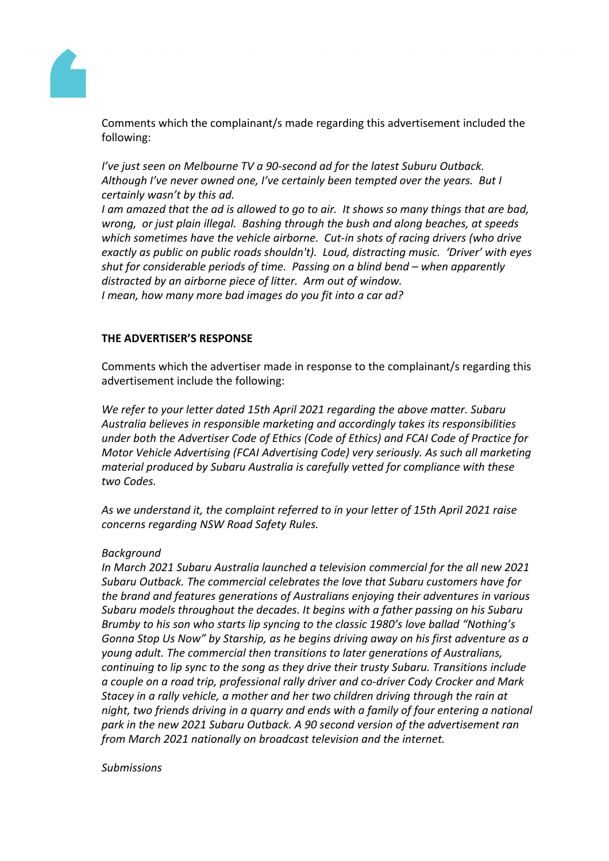

Comments which the complainant/s made regarding this advertisement included the following:

*I've just seen on Melbourne TV a 90-second ad for the latest Suburu Outback. Although I've never owned one, I've certainly been tempted over the years. But I certainly wasn't by this ad.*

*I am amazed that the ad is allowed to go to air. It shows so many things that are bad, wrong, or just plain illegal. Bashing through the bush and along beaches, at speeds which sometimes have the vehicle airborne. Cut-in shots of racing drivers (who drive exactly as public on public roads shouldn't). Loud, distracting music. 'Driver' with eyes shut for considerable periods of time. Passing on a blind bend – when apparently distracted by an airborne piece of litter. Arm out of window. I mean, how many more bad images do you fit into a car ad?*

# **THE ADVERTISER'S RESPONSE**

Comments which the advertiser made in response to the complainant/s regarding this advertisement include the following:

*We refer to your letter dated 15th April 2021 regarding the above matter. Subaru Australia believes in responsible marketing and accordingly takes its responsibilities under both the Advertiser Code of Ethics (Code of Ethics) and FCAI Code of Practice for Motor Vehicle Advertising (FCAI Advertising Code) very seriously. As such all marketing material produced by Subaru Australia is carefully vetted for compliance with these two Codes.*

*As we understand it, the complaint referred to in your letter of 15th April 2021 raise concerns regarding NSW Road Safety Rules.*

#### *Background*

*In March 2021 Subaru Australia launched a television commercial for the all new 2021 Subaru Outback. The commercial celebrates the love that Subaru customers have for the brand and features generations of Australians enjoying their adventures in various Subaru models throughout the decades. It begins with a father passing on his Subaru Brumby to his son who starts lip syncing to the classic 1980's love ballad "Nothing's Gonna Stop Us Now" by Starship, as he begins driving away on his first adventure as a young adult. The commercial then transitions to later generations of Australians, continuing to lip sync to the song as they drive their trusty Subaru. Transitions include a couple on a road trip, professional rally driver and co-driver Cody Crocker and Mark Stacey in a rally vehicle, a mother and her two children driving through the rain at night, two friends driving in a quarry and ends with a family of four entering a national park in the new 2021 Subaru Outback. A 90 second version of the advertisement ran from March 2021 nationally on broadcast television and the internet.*

#### *Submissions*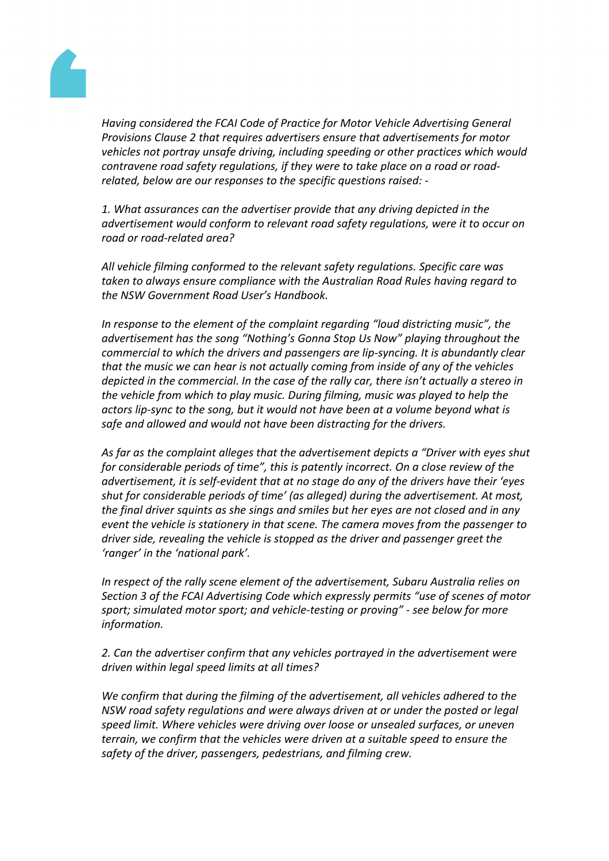

*Having considered the FCAI Code of Practice for Motor Vehicle Advertising General Provisions Clause 2 that requires advertisers ensure that advertisements for motor vehicles not portray unsafe driving, including speeding or other practices which would contravene road safety regulations, if they were to take place on a road or roadrelated, below are our responses to the specific questions raised: -*

*1. What assurances can the advertiser provide that any driving depicted in the advertisement would conform to relevant road safety regulations, were it to occur on road or road-related area?*

*All vehicle filming conformed to the relevant safety regulations. Specific care was taken to always ensure compliance with the Australian Road Rules having regard to the NSW Government Road User's Handbook.*

*In response to the element of the complaint regarding "loud districting music", the advertisement has the song "Nothing's Gonna Stop Us Now" playing throughout the commercial to which the drivers and passengers are lip-syncing. It is abundantly clear that the music we can hear is not actually coming from inside of any of the vehicles depicted in the commercial. In the case of the rally car, there isn't actually a stereo in the vehicle from which to play music. During filming, music was played to help the actors lip-sync to the song, but it would not have been at a volume beyond what is safe and allowed and would not have been distracting for the drivers.*

*As far as the complaint alleges that the advertisement depicts a "Driver with eyes shut for considerable periods of time", this is patently incorrect. On a close review of the advertisement, it is self-evident that at no stage do any of the drivers have their 'eyes shut for considerable periods of time' (as alleged) during the advertisement. At most, the final driver squints as she sings and smiles but her eyes are not closed and in any event the vehicle is stationery in that scene. The camera moves from the passenger to driver side, revealing the vehicle is stopped as the driver and passenger greet the 'ranger' in the 'national park'.*

*In respect of the rally scene element of the advertisement, Subaru Australia relies on Section 3 of the FCAI Advertising Code which expressly permits "use of scenes of motor sport; simulated motor sport; and vehicle-testing or proving" - see below for more information.*

*2. Can the advertiser confirm that any vehicles portrayed in the advertisement were driven within legal speed limits at all times?*

*We confirm that during the filming of the advertisement, all vehicles adhered to the NSW road safety regulations and were always driven at or under the posted or legal speed limit. Where vehicles were driving over loose or unsealed surfaces, or uneven terrain, we confirm that the vehicles were driven at a suitable speed to ensure the safety of the driver, passengers, pedestrians, and filming crew.*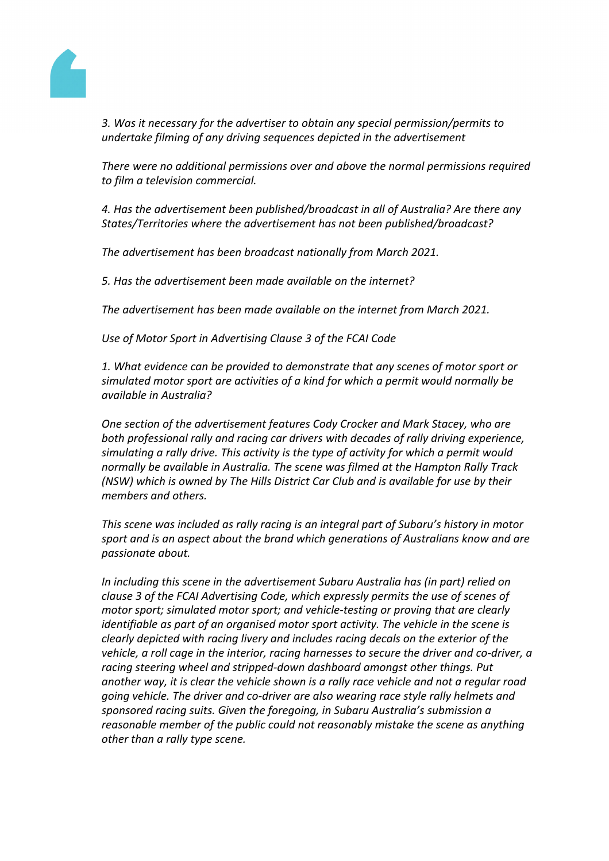

*3. Was it necessary for the advertiser to obtain any special permission/permits to undertake filming of any driving sequences depicted in the advertisement*

*There were no additional permissions over and above the normal permissions required to film a television commercial.*

*4. Has the advertisement been published/broadcast in all of Australia? Are there any States/Territories where the advertisement has not been published/broadcast?*

*The advertisement has been broadcast nationally from March 2021.*

*5. Has the advertisement been made available on the internet?*

*The advertisement has been made available on the internet from March 2021.*

*Use of Motor Sport in Advertising Clause 3 of the FCAI Code*

*1. What evidence can be provided to demonstrate that any scenes of motor sport or simulated motor sport are activities of a kind for which a permit would normally be available in Australia?*

*One section of the advertisement features Cody Crocker and Mark Stacey, who are both professional rally and racing car drivers with decades of rally driving experience, simulating a rally drive. This activity is the type of activity for which a permit would normally be available in Australia. The scene was filmed at the Hampton Rally Track (NSW) which is owned by The Hills District Car Club and is available for use by their members and others.*

*This scene was included as rally racing is an integral part of Subaru's history in motor sport and is an aspect about the brand which generations of Australians know and are passionate about.*

*In including this scene in the advertisement Subaru Australia has (in part) relied on clause 3 of the FCAI Advertising Code, which expressly permits the use of scenes of motor sport; simulated motor sport; and vehicle-testing or proving that are clearly identifiable as part of an organised motor sport activity. The vehicle in the scene is clearly depicted with racing livery and includes racing decals on the exterior of the vehicle, a roll cage in the interior, racing harnesses to secure the driver and co-driver, a racing steering wheel and stripped-down dashboard amongst other things. Put another way, it is clear the vehicle shown is a rally race vehicle and not a regular road going vehicle. The driver and co-driver are also wearing race style rally helmets and sponsored racing suits. Given the foregoing, in Subaru Australia's submission a reasonable member of the public could not reasonably mistake the scene as anything other than a rally type scene.*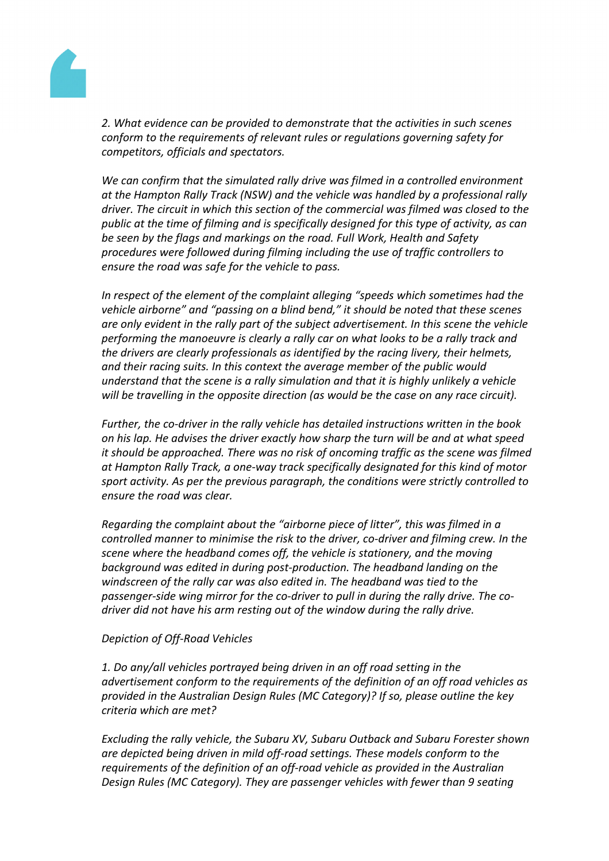

*2. What evidence can be provided to demonstrate that the activities in such scenes conform to the requirements of relevant rules or regulations governing safety for competitors, officials and spectators.*

*We can confirm that the simulated rally drive was filmed in a controlled environment at the Hampton Rally Track (NSW) and the vehicle was handled by a professional rally driver. The circuit in which this section of the commercial was filmed was closed to the public at the time of filming and is specifically designed for this type of activity, as can be seen by the flags and markings on the road. Full Work, Health and Safety procedures were followed during filming including the use of traffic controllers to ensure the road was safe for the vehicle to pass.*

*In respect of the element of the complaint alleging "speeds which sometimes had the vehicle airborne" and "passing on a blind bend," it should be noted that these scenes are only evident in the rally part of the subject advertisement. In this scene the vehicle performing the manoeuvre is clearly a rally car on what looks to be a rally track and the drivers are clearly professionals as identified by the racing livery, their helmets, and their racing suits. In this context the average member of the public would understand that the scene is a rally simulation and that it is highly unlikely a vehicle will be travelling in the opposite direction (as would be the case on any race circuit).*

*Further, the co-driver in the rally vehicle has detailed instructions written in the book on his lap. He advises the driver exactly how sharp the turn will be and at what speed it should be approached. There was no risk of oncoming traffic as the scene was filmed at Hampton Rally Track, a one-way track specifically designated for this kind of motor sport activity. As per the previous paragraph, the conditions were strictly controlled to ensure the road was clear.*

*Regarding the complaint about the "airborne piece of litter", this was filmed in a controlled manner to minimise the risk to the driver, co-driver and filming crew. In the scene where the headband comes off, the vehicle is stationery, and the moving background was edited in during post-production. The headband landing on the windscreen of the rally car was also edited in. The headband was tied to the passenger-side wing mirror for the co-driver to pull in during the rally drive. The codriver did not have his arm resting out of the window during the rally drive.*

## *Depiction of Off-Road Vehicles*

*1. Do any/all vehicles portrayed being driven in an off road setting in the advertisement conform to the requirements of the definition of an off road vehicles as provided in the Australian Design Rules (MC Category)? If so, please outline the key criteria which are met?*

*Excluding the rally vehicle, the Subaru XV, Subaru Outback and Subaru Forester shown are depicted being driven in mild off-road settings. These models conform to the requirements of the definition of an off-road vehicle as provided in the Australian Design Rules (MC Category). They are passenger vehicles with fewer than 9 seating*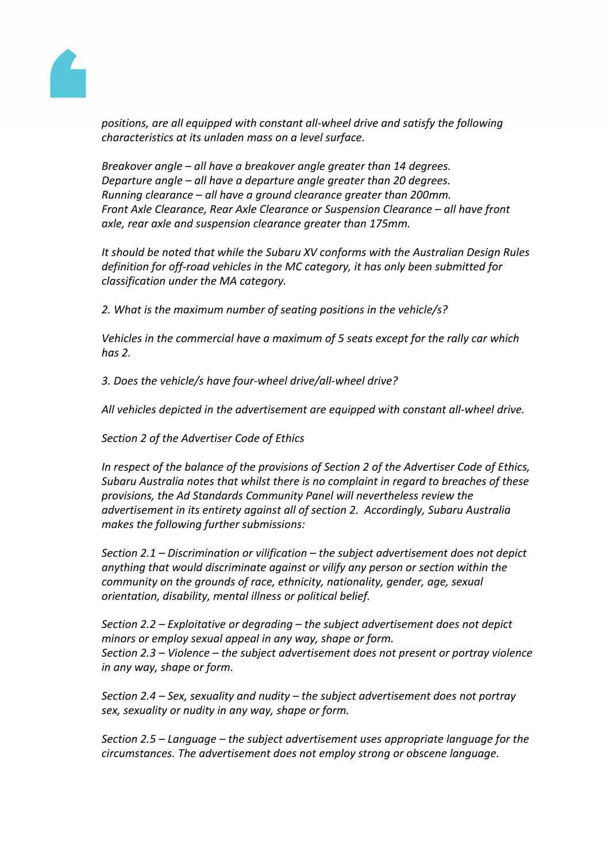

*positions, are all equipped with constant all-wheel drive and satisfy the following characteristics at its unladen mass on a level surface.*

*Breakover angle – all have a breakover angle greater than 14 degrees. Departure angle – all have a departure angle greater than 20 degrees. Running clearance – all have a ground clearance greater than 200mm. Front Axle Clearance, Rear Axle Clearance or Suspension Clearance – all have front axle, rear axle and suspension clearance greater than 175mm.*

*It should be noted that while the Subaru XV conforms with the Australian Design Rules definition for off-road vehicles in the MC category, it has only been submitted for classification under the MA category.*

*2. What is the maximum number of seating positions in the vehicle/s?*

*Vehicles in the commercial have a maximum of 5 seats except for the rally car which has 2.*

*3. Does the vehicle/s have four-wheel drive/all-wheel drive?*

*All vehicles depicted in the advertisement are equipped with constant all-wheel drive.*

*Section 2 of the Advertiser Code of Ethics*

*In respect of the balance of the provisions of Section 2 of the Advertiser Code of Ethics, Subaru Australia notes that whilst there is no complaint in regard to breaches of these provisions, the Ad Standards Community Panel will nevertheless review the advertisement in its entirety against all of section 2. Accordingly, Subaru Australia makes the following further submissions:*

*Section 2.1 – Discrimination or vilification – the subject advertisement does not depict anything that would discriminate against or vilify any person or section within the community on the grounds of race, ethnicity, nationality, gender, age, sexual orientation, disability, mental illness or political belief.*

*Section 2.2 – Exploitative or degrading – the subject advertisement does not depict minors or employ sexual appeal in any way, shape or form. Section 2.3 – Violence – the subject advertisement does not present or portray violence in any way, shape or form.*

*Section 2.4 – Sex, sexuality and nudity – the subject advertisement does not portray sex, sexuality or nudity in any way, shape or form.*

*Section 2.5 – Language – the subject advertisement uses appropriate language for the circumstances. The advertisement does not employ strong or obscene language.*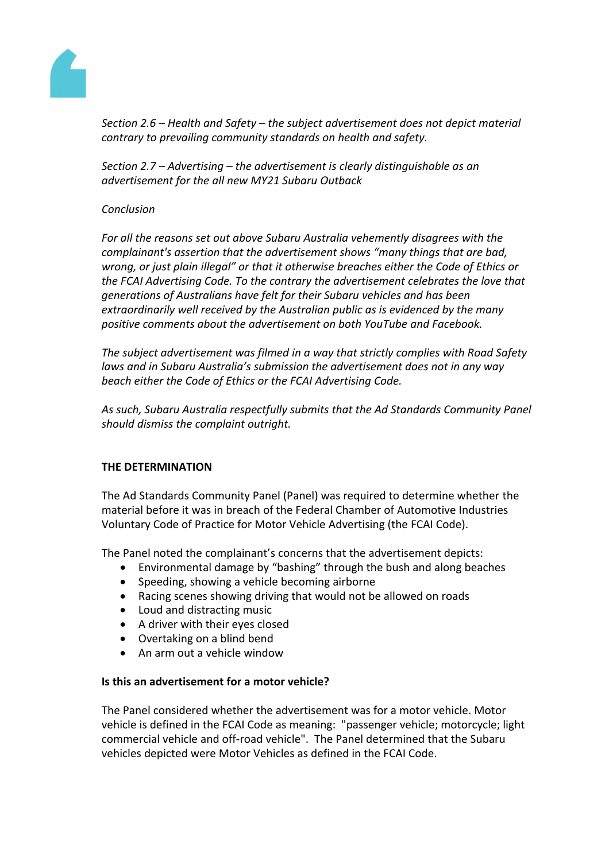

*Section 2.6 – Health and Safety – the subject advertisement does not depict material contrary to prevailing community standards on health and safety.*

*Section 2.7 – Advertising – the advertisement is clearly distinguishable as an advertisement for the all new MY21 Subaru Outback*

# *Conclusion*

*For all the reasons set out above Subaru Australia vehemently disagrees with the complainant's assertion that the advertisement shows "many things that are bad, wrong, or just plain illegal" or that it otherwise breaches either the Code of Ethics or the FCAI Advertising Code. To the contrary the advertisement celebrates the love that generations of Australians have felt for their Subaru vehicles and has been extraordinarily well received by the Australian public as is evidenced by the many positive comments about the advertisement on both YouTube and Facebook.*

*The subject advertisement was filmed in a way that strictly complies with Road Safety laws and in Subaru Australia's submission the advertisement does not in any way beach either the Code of Ethics or the FCAI Advertising Code.*

*As such, Subaru Australia respectfully submits that the Ad Standards Community Panel should dismiss the complaint outright.*

# **THE DETERMINATION**

The Ad Standards Community Panel (Panel) was required to determine whether the material before it was in breach of the Federal Chamber of Automotive Industries Voluntary Code of Practice for Motor Vehicle Advertising (the FCAI Code).

The Panel noted the complainant's concerns that the advertisement depicts:

- Environmental damage by "bashing" through the bush and along beaches
- Speeding, showing a vehicle becoming airborne
- Racing scenes showing driving that would not be allowed on roads
- Loud and distracting music
- A driver with their eyes closed
- Overtaking on a blind bend
- An arm out a vehicle window

## **Is this an advertisement for a motor vehicle?**

The Panel considered whether the advertisement was for a motor vehicle. Motor vehicle is defined in the FCAI Code as meaning: "passenger vehicle; motorcycle; light commercial vehicle and off-road vehicle". The Panel determined that the Subaru vehicles depicted were Motor Vehicles as defined in the FCAI Code.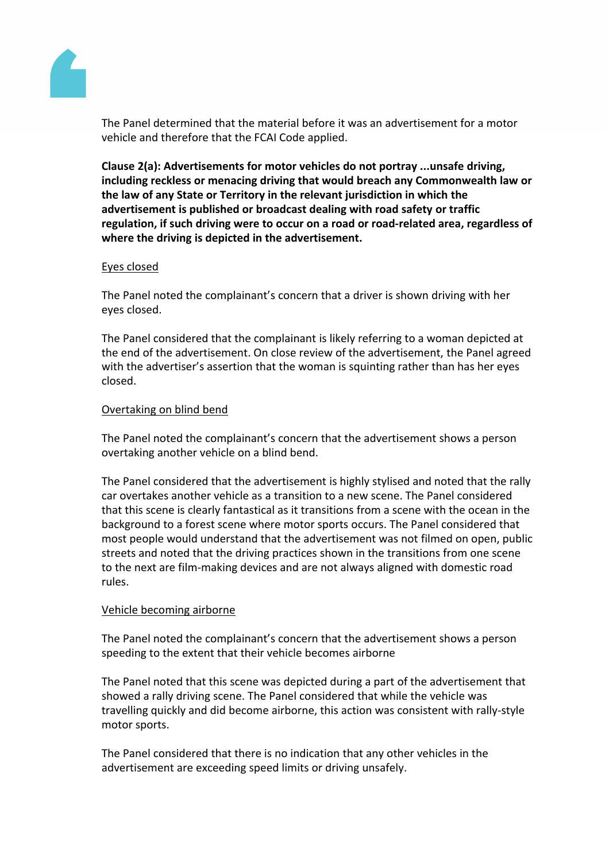

The Panel determined that the material before it was an advertisement for a motor vehicle and therefore that the FCAI Code applied.

**Clause 2(a): Advertisements for motor vehicles do not portray ...unsafe driving, including reckless or menacing driving that would breach any Commonwealth law or the law of any State or Territory in the relevant jurisdiction in which the advertisement is published or broadcast dealing with road safety or traffic regulation, if such driving were to occur on a road or road-related area, regardless of where the driving is depicted in the advertisement.**

## Eyes closed

The Panel noted the complainant's concern that a driver is shown driving with her eyes closed.

The Panel considered that the complainant is likely referring to a woman depicted at the end of the advertisement. On close review of the advertisement, the Panel agreed with the advertiser's assertion that the woman is squinting rather than has her eyes closed.

## Overtaking on blind bend

The Panel noted the complainant's concern that the advertisement shows a person overtaking another vehicle on a blind bend.

The Panel considered that the advertisement is highly stylised and noted that the rally car overtakes another vehicle as a transition to a new scene. The Panel considered that this scene is clearly fantastical as it transitions from a scene with the ocean in the background to a forest scene where motor sports occurs. The Panel considered that most people would understand that the advertisement was not filmed on open, public streets and noted that the driving practices shown in the transitions from one scene to the next are film-making devices and are not always aligned with domestic road rules.

#### Vehicle becoming airborne

The Panel noted the complainant's concern that the advertisement shows a person speeding to the extent that their vehicle becomes airborne

The Panel noted that this scene was depicted during a part of the advertisement that showed a rally driving scene. The Panel considered that while the vehicle was travelling quickly and did become airborne, this action was consistent with rally-style motor sports.

The Panel considered that there is no indication that any other vehicles in the advertisement are exceeding speed limits or driving unsafely.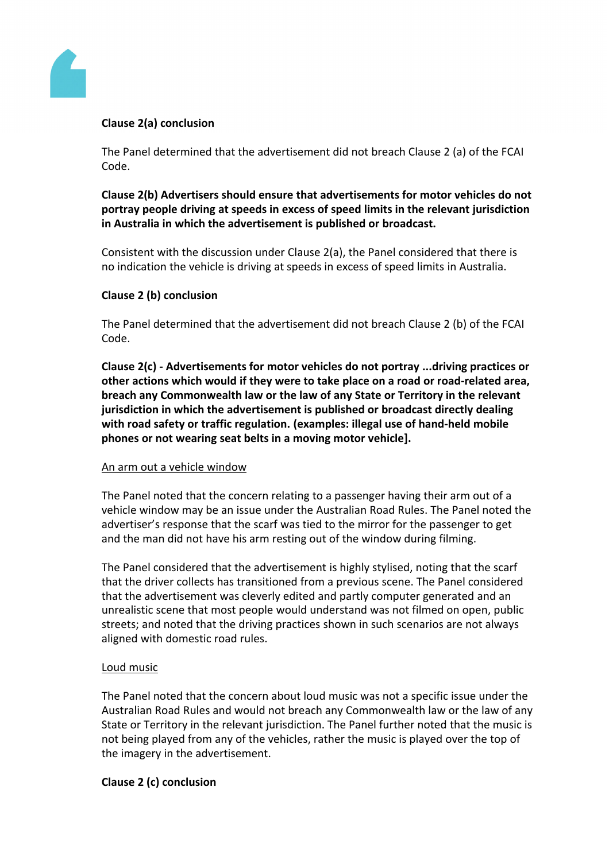

# **Clause 2(a) conclusion**

The Panel determined that the advertisement did not breach Clause 2 (a) of the FCAI Code.

**Clause 2(b) Advertisers should ensure that advertisements for motor vehicles do not portray people driving at speeds in excess of speed limits in the relevant jurisdiction in Australia in which the advertisement is published or broadcast.**

Consistent with the discussion under Clause 2(a), the Panel considered that there is no indication the vehicle is driving at speeds in excess of speed limits in Australia.

# **Clause 2 (b) conclusion**

The Panel determined that the advertisement did not breach Clause 2 (b) of the FCAI Code.

**Clause 2(c) - Advertisements for motor vehicles do not portray ...driving practices or other actions which would if they were to take place on a road or road-related area, breach any Commonwealth law or the law of any State or Territory in the relevant jurisdiction in which the advertisement is published or broadcast directly dealing with road safety or traffic regulation. (examples: illegal use of hand-held mobile phones or not wearing seat belts in a moving motor vehicle].**

## An arm out a vehicle window

The Panel noted that the concern relating to a passenger having their arm out of a vehicle window may be an issue under the Australian Road Rules. The Panel noted the advertiser's response that the scarf was tied to the mirror for the passenger to get and the man did not have his arm resting out of the window during filming.

The Panel considered that the advertisement is highly stylised, noting that the scarf that the driver collects has transitioned from a previous scene. The Panel considered that the advertisement was cleverly edited and partly computer generated and an unrealistic scene that most people would understand was not filmed on open, public streets; and noted that the driving practices shown in such scenarios are not always aligned with domestic road rules.

## Loud music

The Panel noted that the concern about loud music was not a specific issue under the Australian Road Rules and would not breach any Commonwealth law or the law of any State or Territory in the relevant jurisdiction. The Panel further noted that the music is not being played from any of the vehicles, rather the music is played over the top of the imagery in the advertisement.

## **Clause 2 (c) conclusion**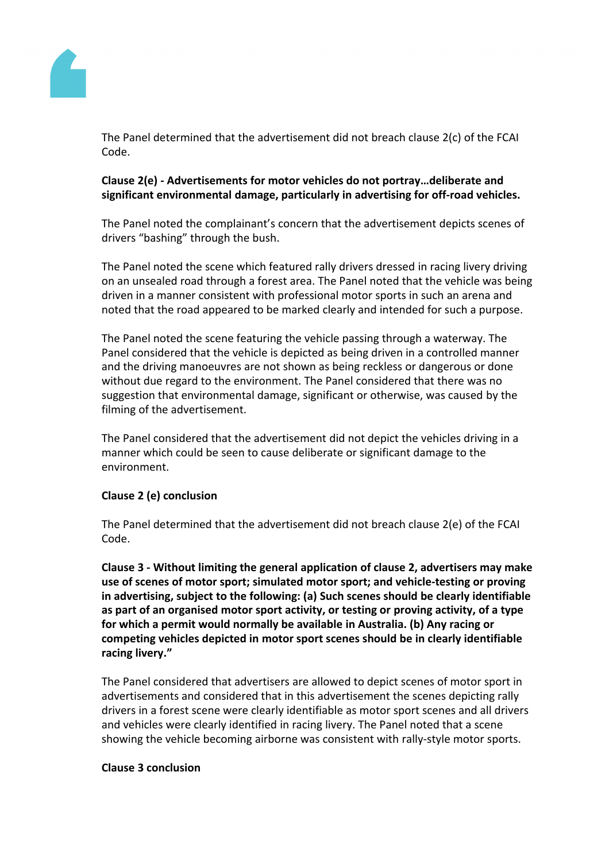

The Panel determined that the advertisement did not breach clause 2(c) of the FCAI Code.

# **Clause 2(e) - Advertisements for motor vehicles do not portray…deliberate and significant environmental damage, particularly in advertising for off-road vehicles.**

The Panel noted the complainant's concern that the advertisement depicts scenes of drivers "bashing" through the bush.

The Panel noted the scene which featured rally drivers dressed in racing livery driving on an unsealed road through a forest area. The Panel noted that the vehicle was being driven in a manner consistent with professional motor sports in such an arena and noted that the road appeared to be marked clearly and intended for such a purpose.

The Panel noted the scene featuring the vehicle passing through a waterway. The Panel considered that the vehicle is depicted as being driven in a controlled manner and the driving manoeuvres are not shown as being reckless or dangerous or done without due regard to the environment. The Panel considered that there was no suggestion that environmental damage, significant or otherwise, was caused by the filming of the advertisement.

The Panel considered that the advertisement did not depict the vehicles driving in a manner which could be seen to cause deliberate or significant damage to the environment.

# **Clause 2 (e) conclusion**

The Panel determined that the advertisement did not breach clause 2(e) of the FCAI Code.

**Clause 3 - Without limiting the general application of clause 2, advertisers may make use of scenes of motor sport; simulated motor sport; and vehicle-testing or proving in advertising, subject to the following: (a) Such scenes should be clearly identifiable as part of an organised motor sport activity, or testing or proving activity, of a type for which a permit would normally be available in Australia. (b) Any racing or competing vehicles depicted in motor sport scenes should be in clearly identifiable racing livery."**

The Panel considered that advertisers are allowed to depict scenes of motor sport in advertisements and considered that in this advertisement the scenes depicting rally drivers in a forest scene were clearly identifiable as motor sport scenes and all drivers and vehicles were clearly identified in racing livery. The Panel noted that a scene showing the vehicle becoming airborne was consistent with rally-style motor sports.

#### **Clause 3 conclusion**